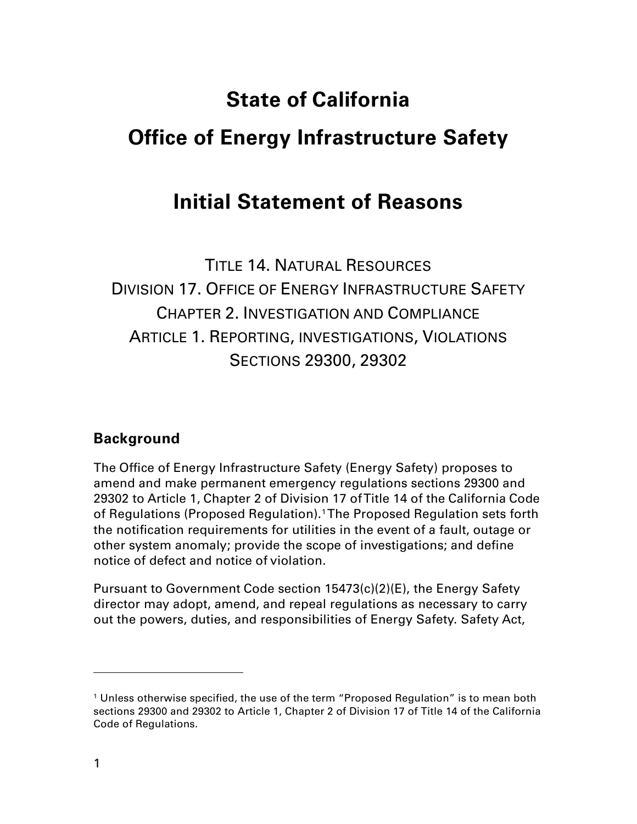# **State of California Office of Energy Infrastructure Safety**

## **Initial Statement of Reasons**

TITLE 14. NATURAL RESOURCES DIVISION 17. OFFICE OF ENERGY INFRASTRUCTURE SAFETY CHAPTER 2. INVESTIGATION AND COMPLIANCE ARTICLE 1. REPORTING, INVESTIGATIONS, VIOLATIONS SECTIONS 29300, 29302

## **Background**

The Office of Energy Infrastructure Safety (Energy Safety) proposes to amend and make permanent emergency regulations sections 29300 and 29302 to Article 1, Chapter 2 of Division 17 of Title 14 of the California Code of Regulations (Proposed Regulation).[1](#page-0-0)The Proposed Regulation sets forth the notification requirements for utilities in the event of a fault, outage or other system anomaly; provide the scope of investigations; and define notice of defect and notice of violation.

Pursuant to Government Code section 15473(c)(2)(E), the Energy Safety director may adopt, amend, and repeal regulations as necessary to carry out the powers, duties, and responsibilities of Energy Safety. Safety Act,

<span id="page-0-0"></span><sup>&</sup>lt;sup>1</sup> Unless otherwise specified, the use of the term "Proposed Regulation" is to mean both sections 29300 and 29302 to Article 1, Chapter 2 of Division 17 of Title 14 of the California Code of Regulations.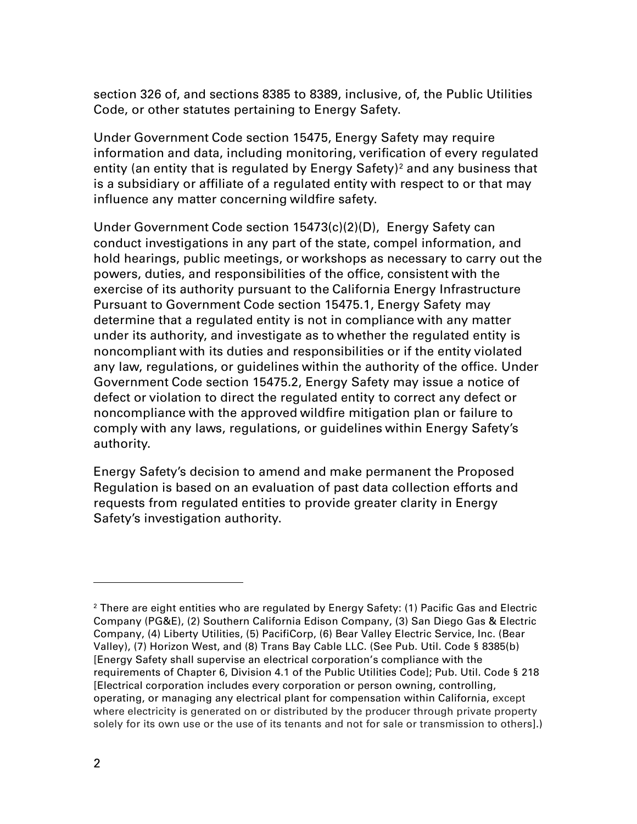section 326 of, and sections 8385 to 8389, inclusive, of, the Public Utilities Code, or other statutes pertaining to Energy Safety.

Under Government Code section 15475, Energy Safety may require information and data, including monitoring, verification of every regulated entity (an entity that is regulated by Energy Safety)<sup>[2](#page-1-0)</sup> and any business that is a subsidiary or affiliate of a regulated entity with respect to or that may influence any matter concerning wildfire safety.

Under Government Code section 15473(c)(2)(D), Energy Safety can conduct investigations in any part of the state, compel information, and hold hearings, public meetings, or workshops as necessary to carry out the powers, duties, and responsibilities of the office, consistent with the exercise of its authority pursuant to the California Energy Infrastructure Pursuant to Government Code section 15475.1, Energy Safety may determine that a regulated entity is not in compliance with any matter under its authority, and investigate as to whether the regulated entity is noncompliant with its duties and responsibilities or if the entity violated any law, regulations, or guidelines within the authority of the office. Under Government Code section 15475.2, Energy Safety may issue a notice of defect or violation to direct the regulated entity to correct any defect or noncompliance with the approved wildfire mitigation plan or failure to comply with any laws, regulations, or guidelines within Energy Safety's authority.

Energy Safety's decision to amend and make permanent the Proposed Regulation is based on an evaluation of past data collection efforts and requests from regulated entities to provide greater clarity in Energy Safety's investigation authority.

<span id="page-1-0"></span> $2$  There are eight entities who are regulated by Energy Safety: (1) Pacific Gas and Electric Company (PG&E), (2) Southern California Edison Company, (3) San Diego Gas & Electric Company, (4) Liberty Utilities, (5) PacifiCorp, (6) Bear Valley Electric Service, Inc. (Bear Valley), (7) Horizon West, and (8) Trans Bay Cable LLC. (See Pub. Util. Code § 8385(b) [Energy Safety shall supervise an electrical corporation's compliance with the requirements of Chapter 6, Division 4.1 of the Public Utilities Code]; Pub. Util. Code § 218 [Electrical corporation includes every corporation or person owning, controlling, operating, or managing any electrical plant for compensation within California, except where electricity is generated on or distributed by the producer through private property solely for its own use or the use of its tenants and not for sale or transmission to others].)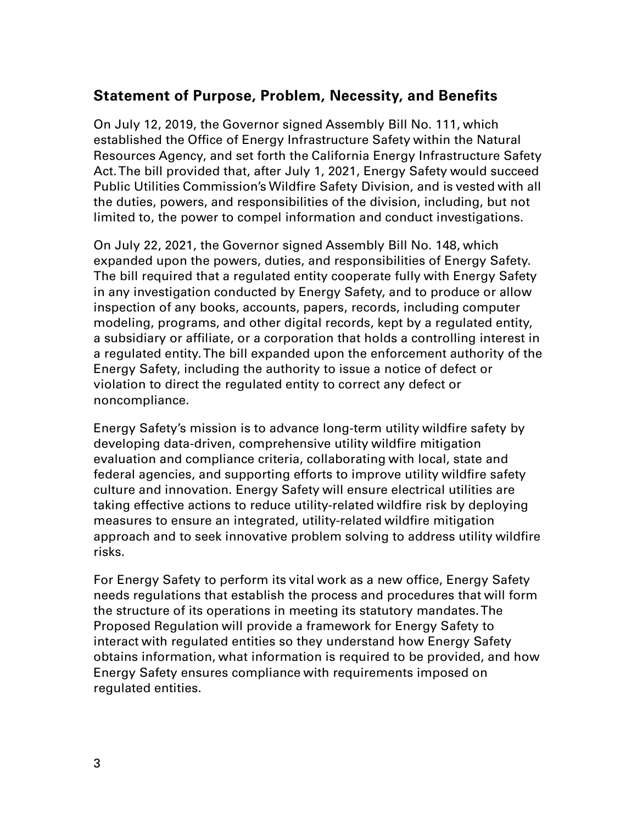## **Statement of Purpose, Problem, Necessity, and Benefits**

On July 12, 2019, the Governor signed Assembly Bill No. 111, which established the Office of Energy Infrastructure Safety within the Natural Resources Agency, and set forth the California Energy Infrastructure Safety Act. The bill provided that, after July 1, 2021, Energy Safety would succeed Public Utilities Commission's Wildfire Safety Division, and is vested with all the duties, powers, and responsibilities of the division, including, but not limited to, the power to compel information and conduct investigations.

On July 22, 2021, the Governor signed Assembly Bill No. 148, which expanded upon the powers, duties, and responsibilities of Energy Safety. The bill required that a regulated entity cooperate fully with Energy Safety in any investigation conducted by Energy Safety, and to produce or allow inspection of any books, accounts, papers, records, including computer modeling, programs, and other digital records, kept by a regulated entity, a subsidiary or affiliate, or a corporation that holds a controlling interest in a regulated entity. The bill expanded upon the enforcement authority of the Energy Safety, including the authority to issue a notice of defect or violation to direct the regulated entity to correct any defect or noncompliance.

Energy Safety's mission is to advance long-term utility wildfire safety by developing data-driven, comprehensive utility wildfire mitigation evaluation and compliance criteria, collaborating with local, state and federal agencies, and supporting efforts to improve utility wildfire safety culture and innovation. Energy Safety will ensure electrical utilities are taking effective actions to reduce utility-related wildfire risk by deploying measures to ensure an integrated, utility-related wildfire mitigation approach and to seek innovative problem solving to address utility wildfire risks.

For Energy Safety to perform its vital work as a new office, Energy Safety needs regulations that establish the process and procedures that will form the structure of its operations in meeting its statutory mandates. The Proposed Regulation will provide a framework for Energy Safety to interact with regulated entities so they understand how Energy Safety obtains information, what information is required to be provided, and how Energy Safety ensures compliance with requirements imposed on regulated entities.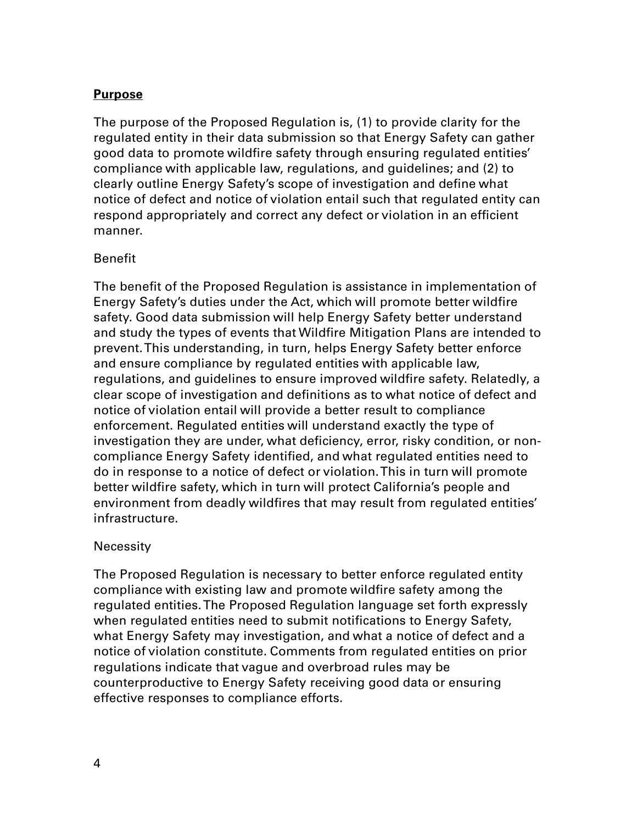#### **Purpose**

The purpose of the Proposed Regulation is, (1) to provide clarity for the regulated entity in their data submission so that Energy Safety can gather good data to promote wildfire safety through ensuring regulated entities' compliance with applicable law, regulations, and guidelines; and (2) to clearly outline Energy Safety's scope of investigation and define what notice of defect and notice of violation entail such that regulated entity can respond appropriately and correct any defect or violation in an efficient manner.

#### Benefit

The benefit of the Proposed Regulation is assistance in implementation of Energy Safety's duties under the Act, which will promote better wildfire safety. Good data submission will help Energy Safety better understand and study the types of events that Wildfire Mitigation Plans are intended to prevent. This understanding, in turn, helps Energy Safety better enforce and ensure compliance by regulated entities with applicable law, regulations, and guidelines to ensure improved wildfire safety. Relatedly, a clear scope of investigation and definitions as to what notice of defect and notice of violation entail will provide a better result to compliance enforcement. Regulated entities will understand exactly the type of investigation they are under, what deficiency, error, risky condition, or noncompliance Energy Safety identified, and what regulated entities need to do in response to a notice of defect or violation.This in turn will promote better wildfire safety, which in turn will protect California's people and environment from deadly wildfires that may result from regulated entities' infrastructure.

#### **Necessity**

The Proposed Regulation is necessary to better enforce regulated entity compliance with existing law and promote wildfire safety among the regulated entities. The Proposed Regulation language set forth expressly when regulated entities need to submit notifications to Energy Safety, what Energy Safety may investigation, and what a notice of defect and a notice of violation constitute. Comments from regulated entities on prior regulations indicate that vague and overbroad rules may be counterproductive to Energy Safety receiving good data or ensuring effective responses to compliance efforts.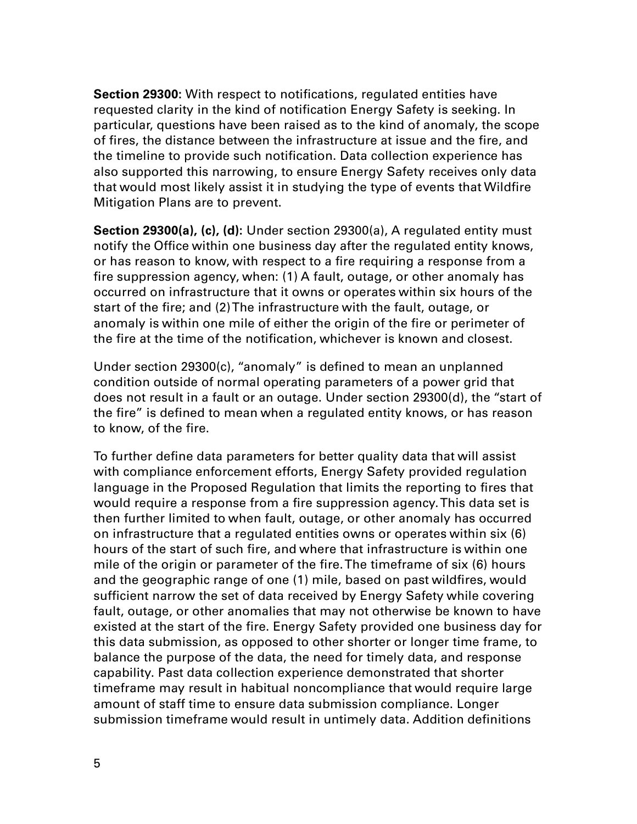**Section 29300:** With respect to notifications, regulated entities have requested clarity in the kind of notification Energy Safety is seeking. In particular, questions have been raised as to the kind of anomaly, the scope of fires, the distance between the infrastructure at issue and the fire, and the timeline to provide such notification. Data collection experience has also supported this narrowing, to ensure Energy Safety receives only data that would most likely assist it in studying the type of events that Wildfire Mitigation Plans are to prevent.

**Section 29300(a), (c), (d):** Under section 29300(a), A regulated entity must notify the Office within one business day after the regulated entity knows, or has reason to know, with respect to a fire requiring a response from a fire suppression agency, when: (1) A fault, outage, or other anomaly has occurred on infrastructure that it owns or operates within six hours of the start of the fire; and (2) The infrastructure with the fault, outage, or anomaly is within one mile of either the origin of the fire or perimeter of the fire at the time of the notification, whichever is known and closest.

Under section 29300(c), "anomaly" is defined to mean an unplanned condition outside of normal operating parameters of a power grid that does not result in a fault or an outage. Under section 29300(d), the "start of the fire" is defined to mean when a regulated entity knows, or has reason to know, of the fire.

To further define data parameters for better quality data that will assist with compliance enforcement efforts, Energy Safety provided regulation language in the Proposed Regulation that limits the reporting to fires that would require a response from a fire suppression agency. This data set is then further limited to when fault, outage, or other anomaly has occurred on infrastructure that a regulated entities owns or operates within six (6) hours of the start of such fire, and where that infrastructure is within one mile of the origin or parameter of the fire. The timeframe of six (6) hours and the geographic range of one (1) mile, based on past wildfires, would sufficient narrow the set of data received by Energy Safety while covering fault, outage, or other anomalies that may not otherwise be known to have existed at the start of the fire. Energy Safety provided one business day for this data submission, as opposed to other shorter or longer time frame, to balance the purpose of the data, the need for timely data, and response capability. Past data collection experience demonstrated that shorter timeframe may result in habitual noncompliance that would require large amount of staff time to ensure data submission compliance. Longer submission timeframe would result in untimely data. Addition definitions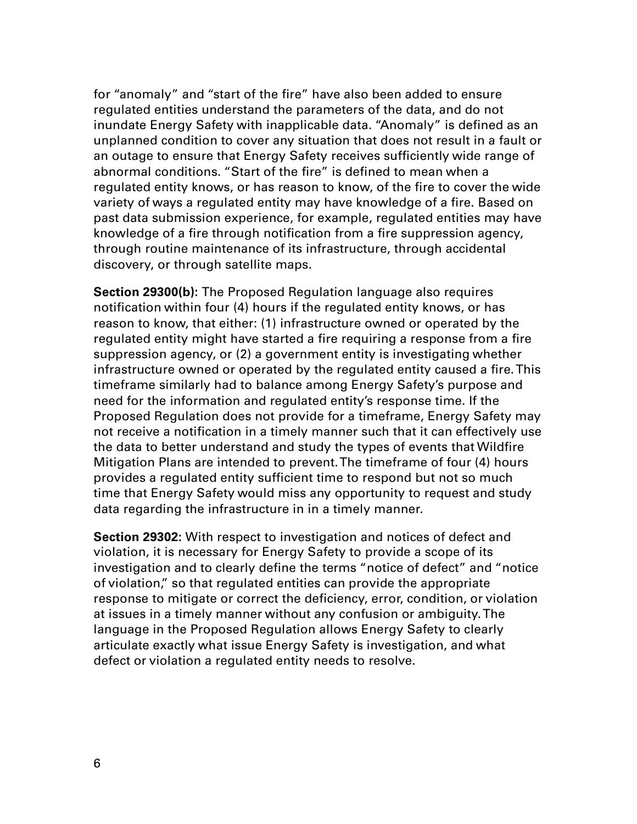for "anomaly" and "start of the fire" have also been added to ensure regulated entities understand the parameters of the data, and do not inundate Energy Safety with inapplicable data. "Anomaly" is defined as an unplanned condition to cover any situation that does not result in a fault or an outage to ensure that Energy Safety receives sufficiently wide range of abnormal conditions. "Start of the fire" is defined to mean when a regulated entity knows, or has reason to know, of the fire to cover the wide variety of ways a regulated entity may have knowledge of a fire. Based on past data submission experience, for example, regulated entities may have knowledge of a fire through notification from a fire suppression agency, through routine maintenance of its infrastructure, through accidental discovery, or through satellite maps.

**Section 29300(b):** The Proposed Regulation language also requires notification within four (4) hours if the regulated entity knows, or has reason to know, that either: (1) infrastructure owned or operated by the regulated entity might have started a fire requiring a response from a fire suppression agency, or (2) a government entity is investigating whether infrastructure owned or operated by the regulated entity caused a fire. This timeframe similarly had to balance among Energy Safety's purpose and need for the information and regulated entity's response time. If the Proposed Regulation does not provide for a timeframe, Energy Safety may not receive a notification in a timely manner such that it can effectively use the data to better understand and study the types of events that Wildfire Mitigation Plans are intended to prevent. The timeframe of four (4) hours provides a regulated entity sufficient time to respond but not so much time that Energy Safety would miss any opportunity to request and study data regarding the infrastructure in in a timely manner.

**Section 29302:** With respect to investigation and notices of defect and violation, it is necessary for Energy Safety to provide a scope of its investigation and to clearly define the terms "notice of defect" and "notice of violation," so that regulated entities can provide the appropriate response to mitigate or correct the deficiency, error, condition, or violation at issues in a timely manner without any confusion or ambiguity. The language in the Proposed Regulation allows Energy Safety to clearly articulate exactly what issue Energy Safety is investigation, and what defect or violation a regulated entity needs to resolve.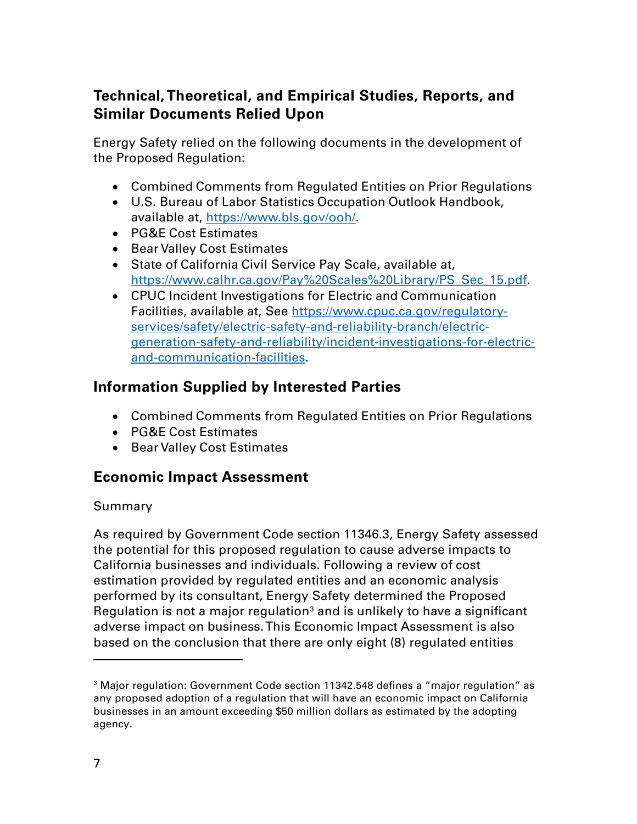## **Technical, Theoretical, and Empirical Studies, Reports, and Similar Documents Relied Upon**

Energy Safety relied on the following documents in the development of the Proposed Regulation:

- Combined Comments from Regulated Entities on Prior Regulations
- U.S. Bureau of Labor Statistics Occupation Outlook Handbook, available at, [https://www.bls.gov/ooh/.](https://www.bls.gov/ooh/)
- PG&E Cost Estimates
- Bear Valley Cost Estimates
- State of California Civil Service Pay Scale, available at, [https://www.calhr.ca.gov/Pay%20Scales%20Library/PS\\_Sec\\_15.pdf.](https://www.calhr.ca.gov/Pay%20Scales%20Library/PS_Sec_15.pdf)
- CPUC Incident Investigations for Electric and Communication Facilities, available at, See [https://www.cpuc.ca.gov/regulatory](https://www.cpuc.ca.gov/regulatory-services/safety/electric-safety-and-reliability-branch/electric-generation-safety-and-reliability/incident-investigations-for-electric-and-communication-facilities)[services/safety/electric-safety-and-reliability-branch/electric](https://www.cpuc.ca.gov/regulatory-services/safety/electric-safety-and-reliability-branch/electric-generation-safety-and-reliability/incident-investigations-for-electric-and-communication-facilities)[generation-safety-and-reliability/incident-investigations-for-electric](https://www.cpuc.ca.gov/regulatory-services/safety/electric-safety-and-reliability-branch/electric-generation-safety-and-reliability/incident-investigations-for-electric-and-communication-facilities)[and-communication-facilities.](https://www.cpuc.ca.gov/regulatory-services/safety/electric-safety-and-reliability-branch/electric-generation-safety-and-reliability/incident-investigations-for-electric-and-communication-facilities)

## **Information Supplied by Interested Parties**

- Combined Comments from Regulated Entities on Prior Regulations
- PG&E Cost Estimates
- Bear Valley Cost Estimates

## **Economic Impact Assessment**

#### Summary

As required by Government Code section 11346.3, Energy Safety assessed the potential for this proposed regulation to cause adverse impacts to California businesses and individuals. Following a review of cost estimation provided by regulated entities and an economic analysis performed by its consultant, Energy Safety determined the Proposed Regulation is not a major regulation<sup>[3](#page-6-0)</sup> and is unlikely to have a significant adverse impact on business. This Economic Impact Assessment is also based on the conclusion that there are only eight (8) regulated entities

<span id="page-6-0"></span><sup>&</sup>lt;sup>3</sup> Major regulation: Government Code section 11342.548 defines a "major regulation" as any proposed adoption of a regulation that will have an economic impact on California businesses in an amount exceeding \$50 million dollars as estimated by the adopting agency.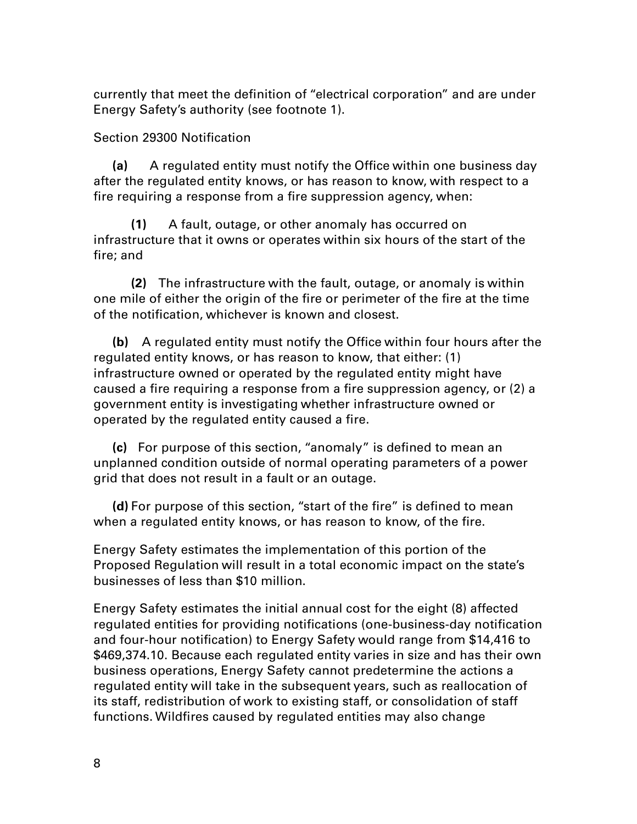currently that meet the definition of "electrical corporation" and are under Energy Safety's authority (see footnote 1).

#### Section 29300 Notification

**(a)** A regulated entity must notify the Office within one business day after the regulated entity knows, or has reason to know, with respect to a fire requiring a response from a fire suppression agency, when:

**(1)** A fault, outage, or other anomaly has occurred on infrastructure that it owns or operates within six hours of the start of the fire; and

**(2)** The infrastructure with the fault, outage, or anomaly is within one mile of either the origin of the fire or perimeter of the fire at the time of the notification, whichever is known and closest.

**(b)** A regulated entity must notify the Office within four hours after the regulated entity knows, or has reason to know, that either: (1) infrastructure owned or operated by the regulated entity might have caused a fire requiring a response from a fire suppression agency, or (2) a government entity is investigating whether infrastructure owned or operated by the regulated entity caused a fire.

**(c)** For purpose of this section, "anomaly" is defined to mean an unplanned condition outside of normal operating parameters of a power grid that does not result in a fault or an outage.

**(d)** For purpose of this section, "start of the fire" is defined to mean when a regulated entity knows, or has reason to know, of the fire.

Energy Safety estimates the implementation of this portion of the Proposed Regulation will result in a total economic impact on the state's businesses of less than \$10 million.

Energy Safety estimates the initial annual cost for the eight (8) affected regulated entities for providing notifications (one-business-day notification and four-hour notification) to Energy Safety would range from \$14,416 to \$469,374.10. Because each regulated entity varies in size and has their own business operations, Energy Safety cannot predetermine the actions a regulated entity will take in the subsequent years, such as reallocation of its staff, redistribution of work to existing staff, or consolidation of staff functions. Wildfires caused by regulated entities may also change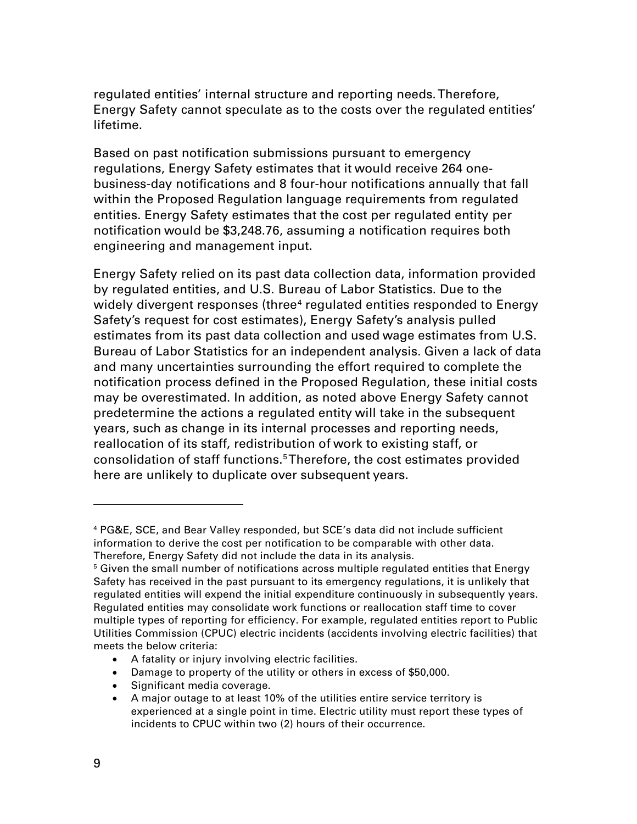regulated entities' internal structure and reporting needs. Therefore, Energy Safety cannot speculate as to the costs over the regulated entities' lifetime.

Based on past notification submissions pursuant to emergency regulations, Energy Safety estimates that it would receive 264 onebusiness-day notifications and 8 four-hour notifications annually that fall within the Proposed Regulation language requirements from regulated entities. Energy Safety estimates that the cost per regulated entity per notification would be \$3,248.76, assuming a notification requires both engineering and management input.

Energy Safety relied on its past data collection data, information provided by regulated entities, and U.S. Bureau of Labor Statistics. Due to the widely divergent responses (three<sup>[4](#page-8-0)</sup> regulated entities responded to Energy Safety's request for cost estimates), Energy Safety's analysis pulled estimates from its past data collection and used wage estimates from U.S. Bureau of Labor Statistics for an independent analysis. Given a lack of data and many uncertainties surrounding the effort required to complete the notification process defined in the Proposed Regulation, these initial costs may be overestimated. In addition, as noted above Energy Safety cannot predetermine the actions a regulated entity will take in the subsequent years, such as change in its internal processes and reporting needs, reallocation of its staff, redistribution of work to existing staff, or consolidation of staff functions.[5](#page-8-1)Therefore, the cost estimates provided here are unlikely to duplicate over subsequent years.

- Damage to property of the utility or others in excess of \$50,000.
- Significant media coverage.

<span id="page-8-0"></span><sup>4</sup> PG&E, SCE, and Bear Valley responded, but SCE's data did not include sufficient information to derive the cost per notification to be comparable with other data. Therefore, Energy Safety did not include the data in its analysis.

<span id="page-8-1"></span> $5$  Given the small number of notifications across multiple regulated entities that Energy Safety has received in the past pursuant to its emergency regulations, it is unlikely that regulated entities will expend the initial expenditure continuously in subsequently years. Regulated entities may consolidate work functions or reallocation staff time to cover multiple types of reporting for efficiency. For example, regulated entities report to Public Utilities Commission (CPUC) electric incidents (accidents involving electric facilities) that meets the below criteria:

<sup>•</sup> A fatality or injury involving electric facilities.

<sup>•</sup> A major outage to at least 10% of the utilities entire service territory is experienced at a single point in time. Electric utility must report these types of incidents to CPUC within two (2) hours of their occurrence.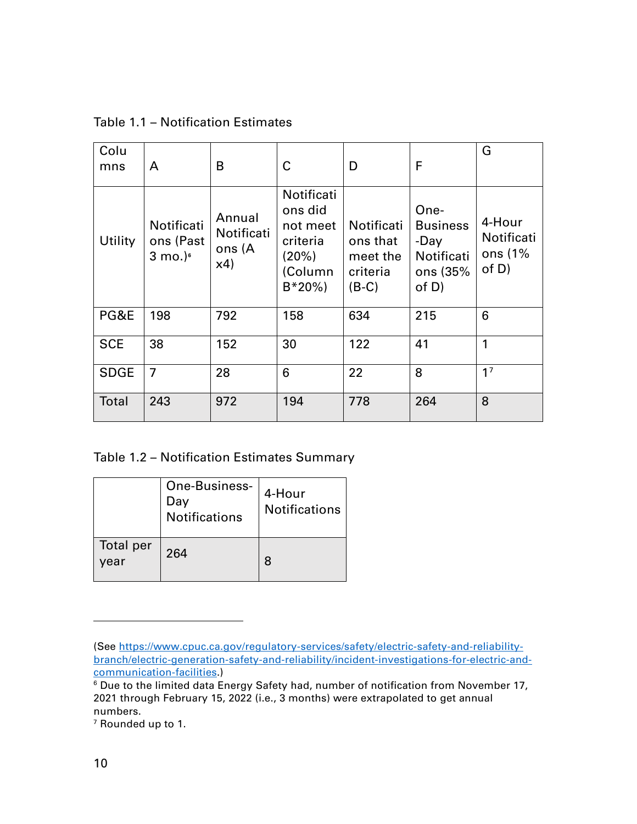| Colu<br>mns | A                                                       | в                                     | C                                                                             | D                                                                | F                                                                  | G                                          |
|-------------|---------------------------------------------------------|---------------------------------------|-------------------------------------------------------------------------------|------------------------------------------------------------------|--------------------------------------------------------------------|--------------------------------------------|
| Utility     | Notificati<br>ons (Past<br>$3 \text{ mo.}$ <sup>6</sup> | Annual<br>Notificati<br>ons (A<br>x4) | Notificati<br>ons did<br>not meet<br>criteria<br>(20%)<br>(Column<br>$B*20\%$ | <b>Notificati</b><br>ons that<br>meet the<br>criteria<br>$(B-C)$ | One-<br><b>Business</b><br>-Day<br>Notificati<br>ons (35%<br>of D) | 4-Hour<br>Notificati<br>ons $(1%$<br>of D) |
| PG&E        | 198                                                     | 792                                   | 158                                                                           | 634                                                              | 215                                                                | 6                                          |
| <b>SCE</b>  | 38                                                      | 152                                   | 30                                                                            | 122                                                              | 41                                                                 | 1                                          |
| <b>SDGE</b> | $\overline{7}$                                          | 28                                    | 6                                                                             | 22                                                               | 8                                                                  | 1 <sup>7</sup>                             |
| Total       | 243                                                     | 972                                   | 194                                                                           | 778                                                              | 264                                                                | 8                                          |

Table 1.1 – Notification Estimates

Table 1.2 – Notification Estimates Summary

|                   | One-Business-<br>Day<br>Notifications | 4-Hour<br><b>Notifications</b> |
|-------------------|---------------------------------------|--------------------------------|
| Total per<br>vear | 264                                   | 8                              |

<sup>(</sup>See [https://www.cpuc.ca.gov/regulatory-services/safety/electric-safety-and-reliability](https://www.cpuc.ca.gov/regulatory-services/safety/electric-safety-and-reliability-branch/electric-generation-safety-and-reliability/incident-investigations-for-electric-and-communication-facilities)[branch/electric-generation-safety-and-reliability/incident-investigations-for-electric-and-](https://www.cpuc.ca.gov/regulatory-services/safety/electric-safety-and-reliability-branch/electric-generation-safety-and-reliability/incident-investigations-for-electric-and-communication-facilities)

<span id="page-9-0"></span> $6$  Due to the limited data Energy Safety had, number of notification from November 17, 2021 through February 15, 2022 (i.e., 3 months) were extrapolated to get annual numbers.

<span id="page-9-1"></span><sup>7</sup> Rounded up to 1.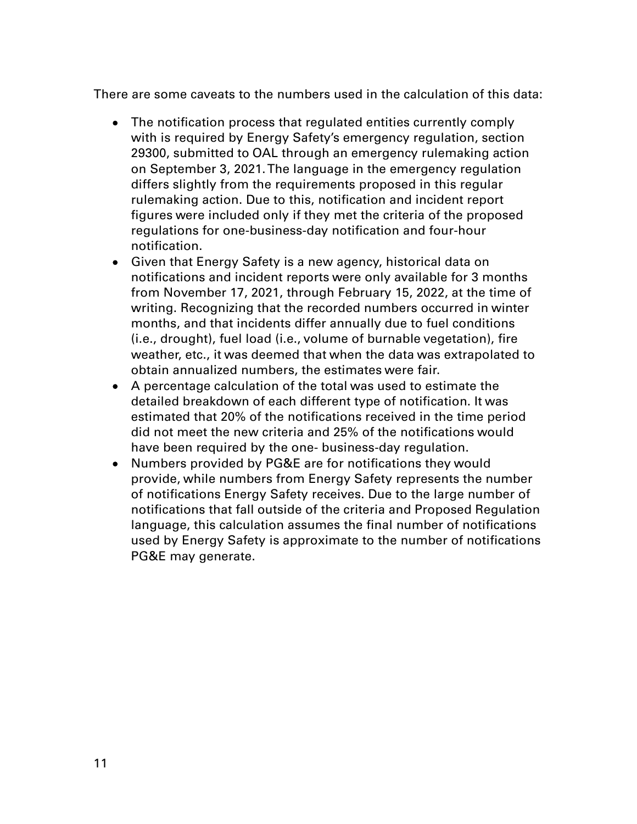There are some caveats to the numbers used in the calculation of this data:

- The notification process that regulated entities currently comply with is required by Energy Safety's emergency regulation, section 29300, submitted to OAL through an emergency rulemaking action on September 3, 2021. The language in the emergency regulation differs slightly from the requirements proposed in this regular rulemaking action. Due to this, notification and incident report figures were included only if they met the criteria of the proposed regulations for one-business-day notification and four-hour notification.
- Given that Energy Safety is a new agency, historical data on notifications and incident reports were only available for 3 months from November 17, 2021, through February 15, 2022, at the time of writing. Recognizing that the recorded numbers occurred in winter months, and that incidents differ annually due to fuel conditions (i.e., drought), fuel load (i.e., volume of burnable vegetation), fire weather, etc., it was deemed that when the data was extrapolated to obtain annualized numbers, the estimates were fair.
- A percentage calculation of the total was used to estimate the detailed breakdown of each different type of notification. It was estimated that 20% of the notifications received in the time period did not meet the new criteria and 25% of the notifications would have been required by the one- business-day regulation.
- Numbers provided by PG&E are for notifications they would provide, while numbers from Energy Safety represents the number of notifications Energy Safety receives. Due to the large number of notifications that fall outside of the criteria and Proposed Regulation language, this calculation assumes the final number of notifications used by Energy Safety is approximate to the number of notifications PG&E may generate.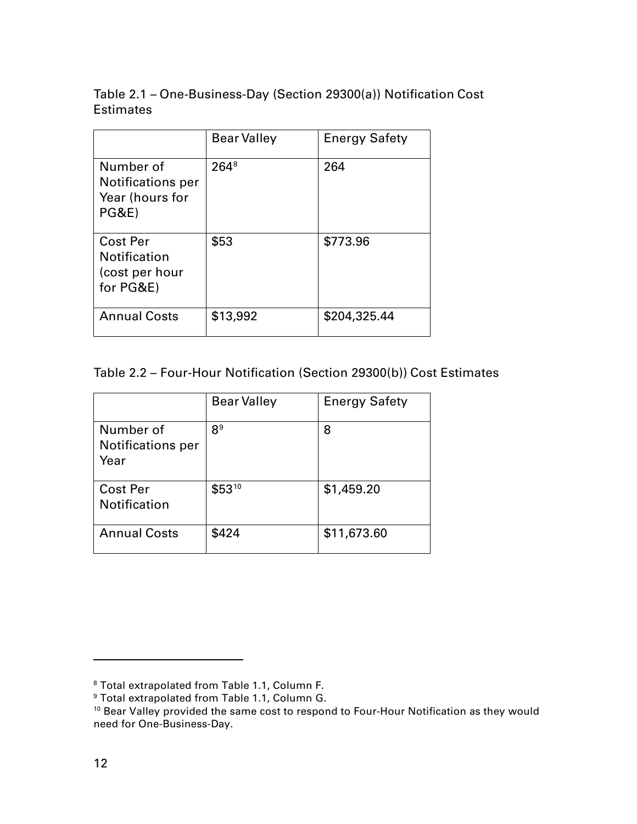Table 2.1 – One-Business-Day (Section 29300(a)) Notification Cost **Estimates** 

|                                                                | <b>Bear Valley</b> | <b>Energy Safety</b> |
|----------------------------------------------------------------|--------------------|----------------------|
| Number of<br>Notifications per<br>Year (hours for<br>PG&E)     | $264^8$            | 264                  |
| Cost Per<br><b>Notification</b><br>(cost per hour<br>for PG&E) | \$53               | \$773.96             |
| <b>Annual Costs</b>                                            | \$13,992           | \$204,325.44         |

#### Table 2.2 – Four-Hour Notification (Section 29300(b)) Cost Estimates

|                                        | <b>Bear Valley</b> | <b>Energy Safety</b> |
|----------------------------------------|--------------------|----------------------|
| Number of<br>Notifications per<br>Year | 8 <sup>9</sup>     | 8                    |
| Cost Per<br>Notification               | \$5310             | \$1,459.20           |
| <b>Annual Costs</b>                    | \$424              | \$11,673.60          |

<span id="page-11-0"></span><sup>8</sup> Total extrapolated from Table 1.1, Column F.

<span id="page-11-1"></span><sup>9</sup> Total extrapolated from Table 1.1, Column G.

<span id="page-11-2"></span><sup>&</sup>lt;sup>10</sup> Bear Valley provided the same cost to respond to Four-Hour Notification as they would need for One-Business-Day.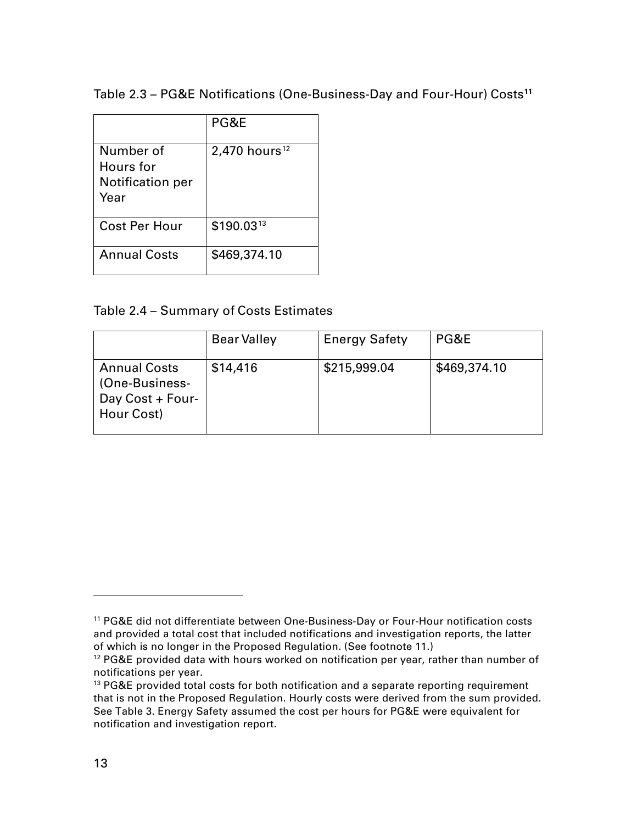Table 2.3 – PG&E Notifications (One-Business-Day and Four-Hour) Costs**[11](#page-12-0)**

|                                                           | PG&E                        |
|-----------------------------------------------------------|-----------------------------|
| Number of<br>Hours for<br><b>Notification per</b><br>Year | $2,470$ hours <sup>12</sup> |
| Cost Per Hour                                             | \$190.03 <sup>13</sup>      |
| <b>Annual Costs</b>                                       | \$469,374.10                |

#### Table 2.4 – Summary of Costs Estimates

|                                                                         | <b>Bear Valley</b> | <b>Energy Safety</b> | PG&E         |
|-------------------------------------------------------------------------|--------------------|----------------------|--------------|
| <b>Annual Costs</b><br>(One-Business-<br>Day Cost + Four-<br>Hour Cost) | \$14,416           | \$215,999.04         | \$469,374.10 |

<span id="page-12-0"></span><sup>11</sup> PG&E did not differentiate between One-Business-Day or Four-Hour notification costs and provided a total cost that included notifications and investigation reports, the latter of which is no longer in the Proposed Regulation. (See footnote 11.)

<span id="page-12-1"></span> $12$  PG&E provided data with hours worked on notification per year, rather than number of notifications per year.<br><sup>13</sup> PG&E provided total costs for both notification and a separate reporting requirement

<span id="page-12-2"></span>that is not in the Proposed Regulation. Hourly costs were derived from the sum provided. See Table 3. Energy Safety assumed the cost per hours for PG&E were equivalent for notification and investigation report.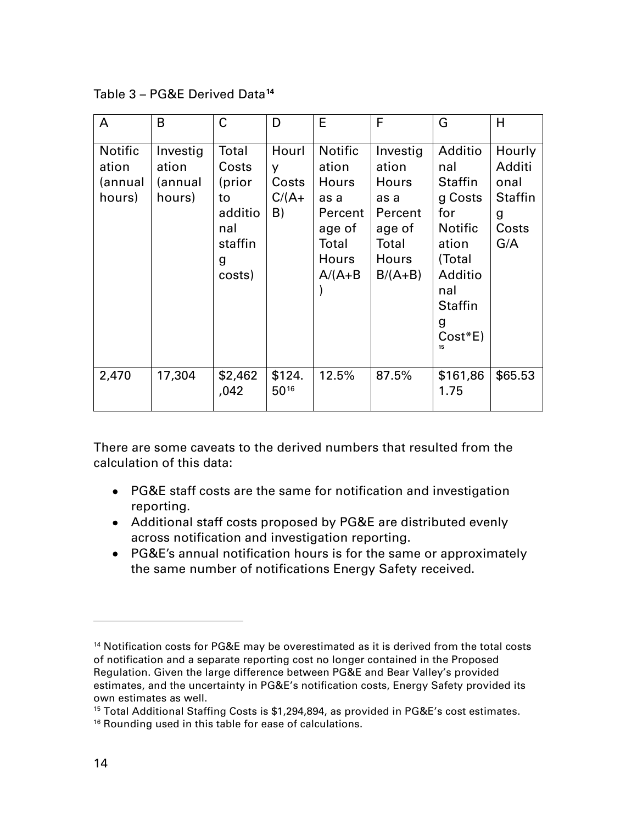Table 3 – PG&E Derived Data**[14](#page-13-0)**

| A                                            | B                                      | C                                                                          | D                                    | E                                                                                            | F                                                                                                    | G                                                                                                                                                   | H                                                               |
|----------------------------------------------|----------------------------------------|----------------------------------------------------------------------------|--------------------------------------|----------------------------------------------------------------------------------------------|------------------------------------------------------------------------------------------------------|-----------------------------------------------------------------------------------------------------------------------------------------------------|-----------------------------------------------------------------|
| <b>Notific</b><br>ation<br>(annual<br>hours) | Investig<br>ation<br>(annual<br>hours) | Total<br>Costs<br>(prior<br>to<br>additio<br>nal<br>staffin<br>g<br>costs) | Hourl<br>y<br>Costs<br>$C/(A+$<br>B) | <b>Notific</b><br>ation<br>Hours<br>as a<br>Percent<br>age of<br>Total<br>Hours<br>$A/(A+B)$ | Investig<br>ation<br><b>Hours</b><br>as a<br>Percent<br>age of<br>Total<br><b>Hours</b><br>$B/(A+B)$ | Additio<br>nal<br><b>Staffin</b><br>g Costs<br>for<br><b>Notific</b><br>ation<br>(Total<br>Additio<br>nal<br><b>Staffin</b><br>g<br>$Cost*E)$<br>15 | Hourly<br>Additi<br>onal<br><b>Staffin</b><br>g<br>Costs<br>G/A |
| 2,470                                        | 17,304                                 | \$2,462<br>,042                                                            | \$124.<br>5016                       | 12.5%                                                                                        | 87.5%                                                                                                | \$161,86<br>1.75                                                                                                                                    | \$65.53                                                         |

There are some caveats to the derived numbers that resulted from the calculation of this data:

- PG&E staff costs are the same for notification and investigation reporting.
- Additional staff costs proposed by PG&E are distributed evenly across notification and investigation reporting.
- PG&E's annual notification hours is for the same or approximately the same number of notifications Energy Safety received.

<span id="page-13-0"></span><sup>&</sup>lt;sup>14</sup> Notification costs for PG&E may be overestimated as it is derived from the total costs of notification and a separate reporting cost no longer contained in the Proposed Regulation. Given the large difference between PG&E and Bear Valley's provided estimates, and the uncertainty in PG&E's notification costs, Energy Safety provided its own estimates as well.

<span id="page-13-2"></span><span id="page-13-1"></span><sup>&</sup>lt;sup>15</sup> Total Additional Staffing Costs is \$1,294,894, as provided in PG&E's cost estimates.<br><sup>16</sup> Rounding used in this table for ease of calculations.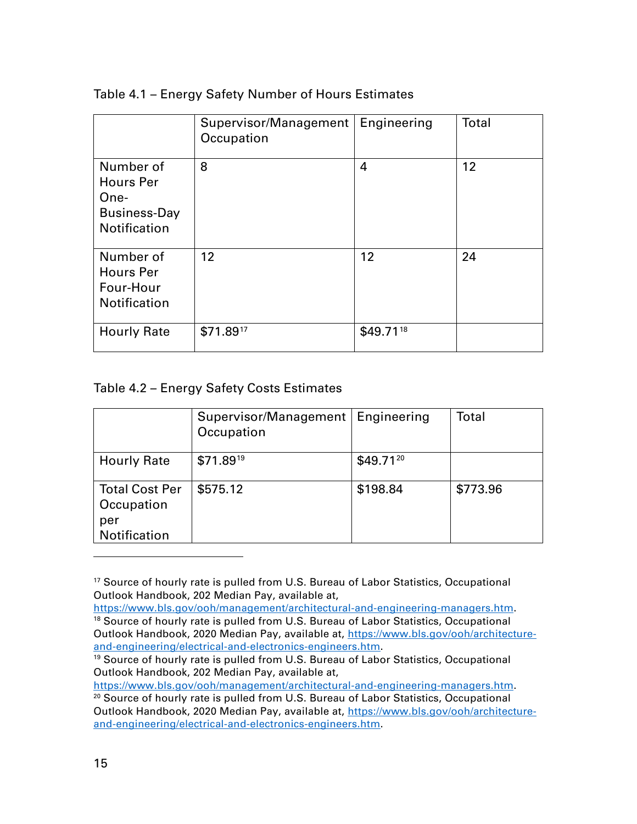|  | Table 4.1 – Energy Safety Number of Hours Estimates |
|--|-----------------------------------------------------|
|  |                                                     |

|                                                                              | Supervisor/Management<br>Occupation | Engineering | Total |
|------------------------------------------------------------------------------|-------------------------------------|-------------|-------|
| Number of<br><b>Hours Per</b><br>One-<br>Business-Day<br><b>Notification</b> | 8                                   | 4           | 12    |
| Number of<br><b>Hours Per</b><br>Four-Hour<br><b>Notification</b>            | 12                                  | 12          | 24    |
| <b>Hourly Rate</b>                                                           | \$71.8917                           | \$49.7118   |       |

#### Table 4.2 – Energy Safety Costs Estimates

|                                            | Supervisor/Management   Engineering<br>Occupation |               | Total    |
|--------------------------------------------|---------------------------------------------------|---------------|----------|
| <b>Hourly Rate</b>                         | \$71.8919                                         | $$49.71^{20}$ |          |
| <b>Total Cost Per</b><br>Occupation<br>per | \$575.12                                          | \$198.84      | \$773.96 |
| Notification                               |                                                   |               |          |

<span id="page-14-0"></span><sup>&</sup>lt;sup>17</sup> Source of hourly rate is pulled from U.S. Bureau of Labor Statistics, Occupational Outlook Handbook, 202 Median Pay, available at,

<span id="page-14-1"></span>[https://www.bls.gov/ooh/management/architectural-and-engineering-managers.htm.](https://www.bls.gov/ooh/management/architectural-and-engineering-managers.htm)<br><sup>18</sup> Source of hourly rate is pulled from U.S. Bureau of Labor Statistics, Occupational Outlook Handbook, 2020 Median Pay, available at, [https://www.bls.gov/ooh/architecture](https://www.bls.gov/ooh/architecture-and-engineering/electrical-and-electronics-engineers.htm)[and-engineering/electrical-and-electronics-engineers.htm.](https://www.bls.gov/ooh/architecture-and-engineering/electrical-and-electronics-engineers.htm)<br><sup>19</sup> Source of hourly rate is pulled from U.S. Bureau of Labor Statistics, Occupational

<span id="page-14-2"></span>Outlook Handbook, 202 Median Pay, available at,

[https://www.bls.gov/ooh/management/architectural-and-engineering-managers.htm.](https://www.bls.gov/ooh/management/architectural-and-engineering-managers.htm)<br><sup>20</sup> Source of hourly rate is pulled from U.S. Bureau of Labor Statistics, Occupational

<span id="page-14-3"></span>Outlook Handbook, 2020 Median Pay, available at, [https://www.bls.gov/ooh/architecture](https://www.bls.gov/ooh/architecture-and-engineering/electrical-and-electronics-engineers.htm)[and-engineering/electrical-and-electronics-engineers.htm.](https://www.bls.gov/ooh/architecture-and-engineering/electrical-and-electronics-engineers.htm)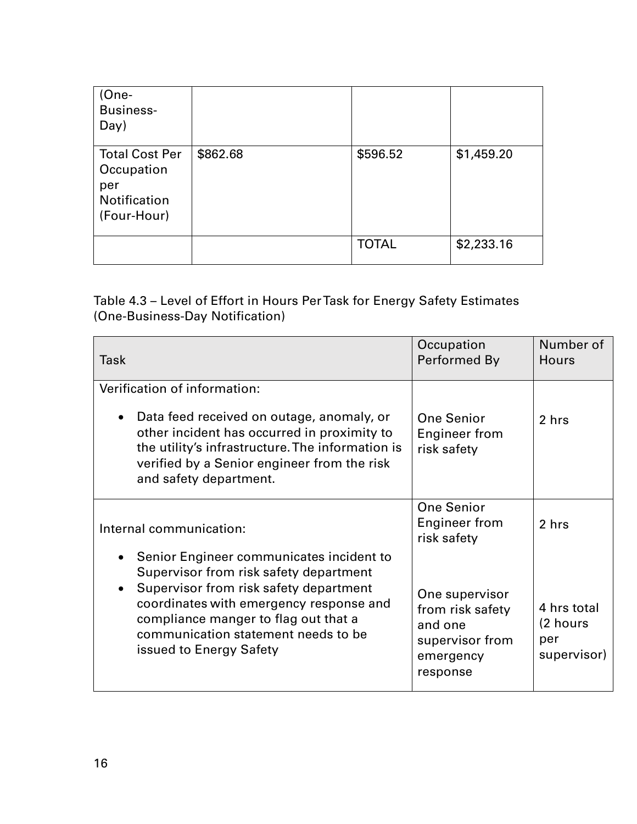| (One-<br><b>Business-</b><br>Day)                                         |          |              |            |
|---------------------------------------------------------------------------|----------|--------------|------------|
| <b>Total Cost Per</b><br>Occupation<br>per<br>Notification<br>(Four-Hour) | \$862.68 | \$596.52     | \$1,459.20 |
|                                                                           |          | <b>TOTAL</b> | \$2,233.16 |

## Table 4.3 – Level of Effort in Hours Per Task for Energy Safety Estimates (One-Business-Day Notification)

| Task                                                                                                                                                                                                                                                                              | Occupation<br>Performed By                                                                               | Number of<br>Hours                            |
|-----------------------------------------------------------------------------------------------------------------------------------------------------------------------------------------------------------------------------------------------------------------------------------|----------------------------------------------------------------------------------------------------------|-----------------------------------------------|
| Verification of information:<br>Data feed received on outage, anomaly, or<br>other incident has occurred in proximity to<br>the utility's infrastructure. The information is<br>verified by a Senior engineer from the risk                                                       | <b>One Senior</b><br><b>Engineer from</b><br>risk safety                                                 | 2 hrs                                         |
| and safety department.<br>Internal communication:                                                                                                                                                                                                                                 | <b>One Senior</b><br>Engineer from                                                                       | 2 hrs                                         |
| Senior Engineer communicates incident to<br>Supervisor from risk safety department<br>Supervisor from risk safety department<br>coordinates with emergency response and<br>compliance manger to flag out that a<br>communication statement needs to be<br>issued to Energy Safety | risk safety<br>One supervisor<br>from risk safety<br>and one<br>supervisor from<br>emergency<br>response | 4 hrs total<br>(2 hours<br>per<br>supervisor) |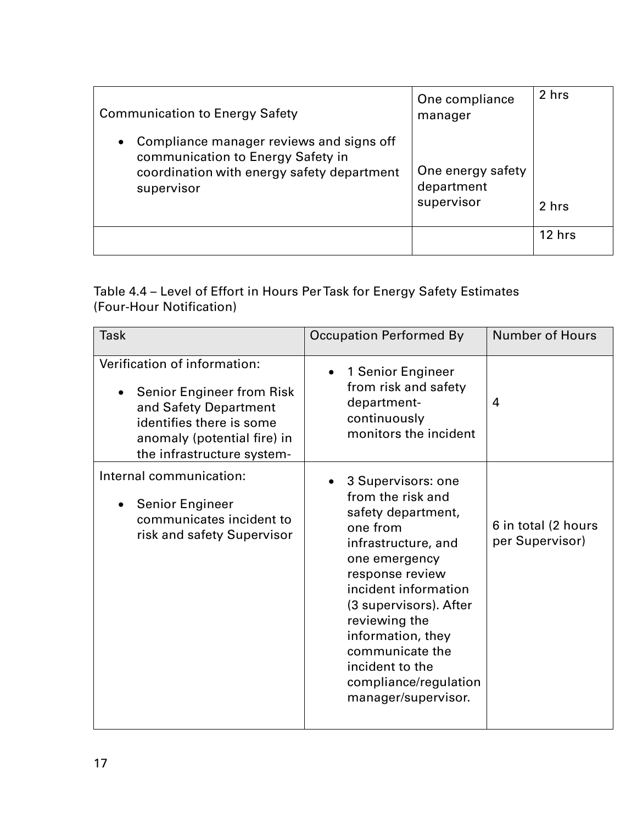| <b>Communication to Energy Safety</b>                                                                                                     | One compliance<br>manager                     | 2 hrs    |
|-------------------------------------------------------------------------------------------------------------------------------------------|-----------------------------------------------|----------|
| Compliance manager reviews and signs off<br>communication to Energy Safety in<br>coordination with energy safety department<br>supervisor | One energy safety<br>department<br>supervisor | 2 hrs    |
|                                                                                                                                           |                                               | $12$ hrs |

Table 4.4 – Level of Effort in Hours Per Task for Energy Safety Estimates (Four-Hour Notification)

| <b>Task</b>                                                                                                                                                                        | <b>Occupation Performed By</b>                                                                                                                                                                                                                                                                                     | <b>Number of Hours</b>                 |
|------------------------------------------------------------------------------------------------------------------------------------------------------------------------------------|--------------------------------------------------------------------------------------------------------------------------------------------------------------------------------------------------------------------------------------------------------------------------------------------------------------------|----------------------------------------|
| Verification of information:<br><b>Senior Engineer from Risk</b><br>and Safety Department<br>identifies there is some<br>anomaly (potential fire) in<br>the infrastructure system- | 1 Senior Engineer<br>from risk and safety<br>department-<br>continuously<br>monitors the incident                                                                                                                                                                                                                  | 4                                      |
| Internal communication:<br><b>Senior Engineer</b><br>communicates incident to<br>risk and safety Supervisor                                                                        | 3 Supervisors: one<br>from the risk and<br>safety department,<br>one from<br>infrastructure, and<br>one emergency<br>response review<br>incident information<br>(3 supervisors). After<br>reviewing the<br>information, they<br>communicate the<br>incident to the<br>compliance/regulation<br>manager/supervisor. | 6 in total (2 hours<br>per Supervisor) |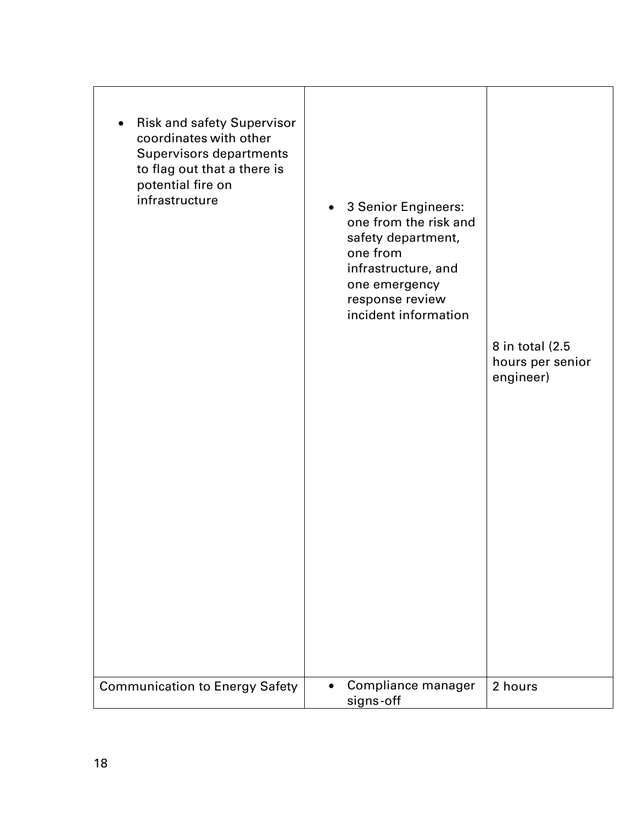| <b>Risk and safety Supervisor</b><br>coordinates with other<br><b>Supervisors departments</b><br>to flag out that a there is<br>potential fire on<br>infrastructure<br><b>Communication to Energy Safety</b> | 3 Senior Engineers:<br>$\bullet$<br>one from the risk and<br>safety department,<br>one from<br>infrastructure, and<br>one emergency<br>response review<br>incident information<br>Compliance manager<br>$\bullet$ | 8 in total (2.5<br>hours per senior<br>engineer)<br>2 hours |
|--------------------------------------------------------------------------------------------------------------------------------------------------------------------------------------------------------------|-------------------------------------------------------------------------------------------------------------------------------------------------------------------------------------------------------------------|-------------------------------------------------------------|
|                                                                                                                                                                                                              | signs-off                                                                                                                                                                                                         |                                                             |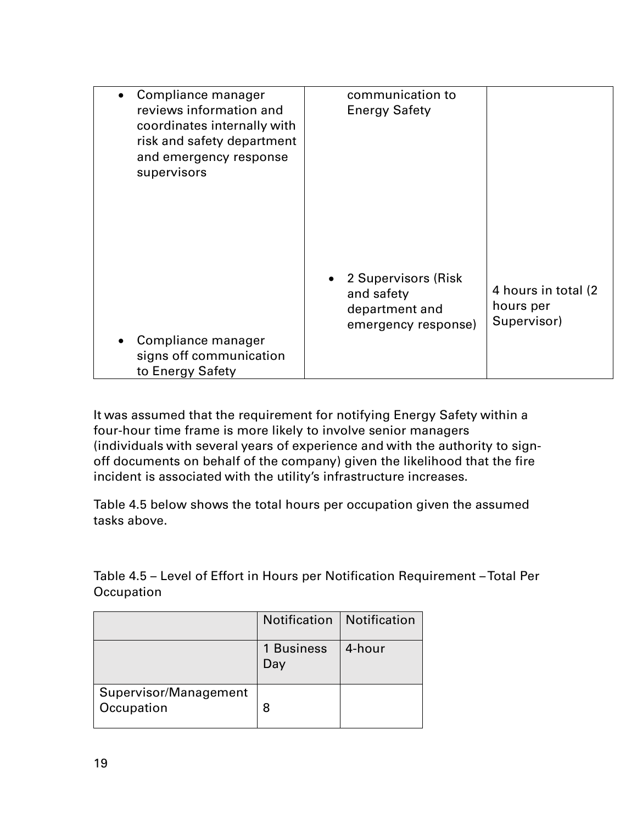| Compliance manager<br>reviews information and<br>coordinates internally with<br>risk and safety department<br>and emergency response<br>supervisors | communication to<br><b>Energy Safety</b>                                    |                                                  |
|-----------------------------------------------------------------------------------------------------------------------------------------------------|-----------------------------------------------------------------------------|--------------------------------------------------|
| Compliance manager<br>signs off communication<br>to Energy Safety                                                                                   | 2 Supervisors (Risk)<br>and safety<br>department and<br>emergency response) | 4 hours in total (2)<br>hours per<br>Supervisor) |

It was assumed that the requirement for notifying Energy Safety within a four-hour time frame is more likely to involve senior managers (individuals with several years of experience and with the authority to signoff documents on behalf of the company) given the likelihood that the fire incident is associated with the utility's infrastructure increases.

Table 4.5 below shows the total hours per occupation given the assumed tasks above.

Table 4.5 – Level of Effort in Hours per Notification Requirement – Total Per **Occupation** 

|                                     | Notification      | Notification |
|-------------------------------------|-------------------|--------------|
|                                     | 1 Business<br>Day | 4-hour       |
| Supervisor/Management<br>Occupation | 8                 |              |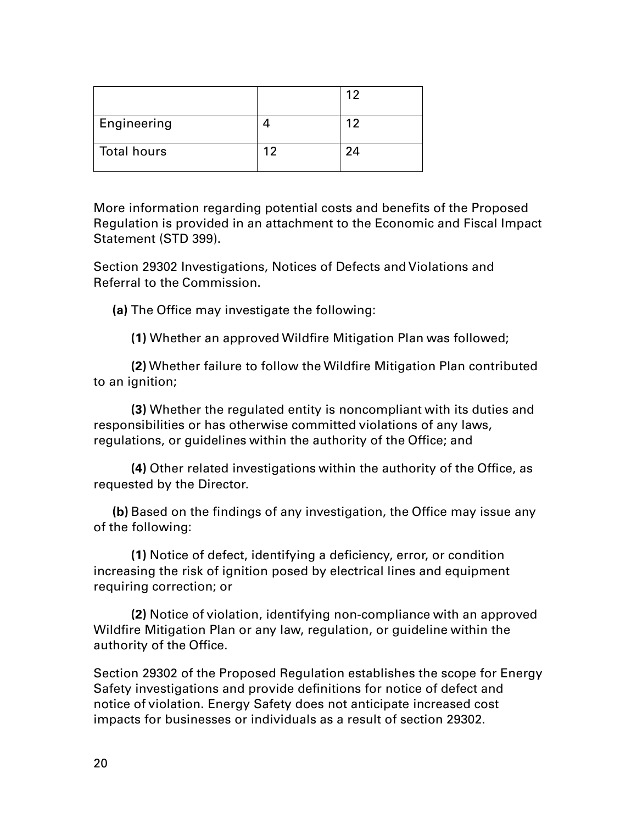|                    |    | 12 |
|--------------------|----|----|
| Engineering        |    | 12 |
| <b>Total hours</b> | 12 | 24 |

More information regarding potential costs and benefits of the Proposed Regulation is provided in an attachment to the Economic and Fiscal Impact Statement (STD 399).

Section 29302 Investigations, Notices of Defects and Violations and Referral to the Commission.

**(a)** The Office may investigate the following:

**(1)** Whether an approved Wildfire Mitigation Plan was followed;

 **(2)** Whether failure to follow the Wildfire Mitigation Plan contributed to an ignition;

 **(3)** Whether the regulated entity is noncompliant with its duties and responsibilities or has otherwise committed violations of any laws, regulations, or guidelines within the authority of the Office; and

 **(4)** Other related investigations within the authority of the Office, as requested by the Director.

**(b)** Based on the findings of any investigation, the Office may issue any of the following:

 **(1)** Notice of defect, identifying a deficiency, error, or condition increasing the risk of ignition posed by electrical lines and equipment requiring correction; or

 **(2)** Notice of violation, identifying non-compliance with an approved Wildfire Mitigation Plan or any law, regulation, or guideline within the authority of the Office.

Section 29302 of the Proposed Regulation establishes the scope for Energy Safety investigations and provide definitions for notice of defect and notice of violation. Energy Safety does not anticipate increased cost impacts for businesses or individuals as a result of section 29302.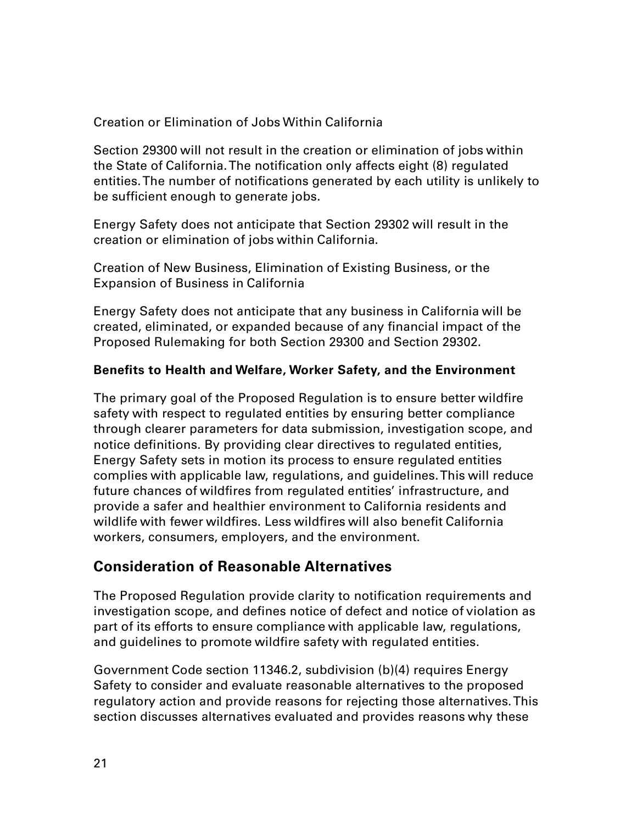Creation or Elimination of Jobs Within California

Section 29300 will not result in the creation or elimination of jobs within the State of California. The notification only affects eight (8) regulated entities. The number of notifications generated by each utility is unlikely to be sufficient enough to generate jobs.

Energy Safety does not anticipate that Section 29302 will result in the creation or elimination of jobs within California.

Creation of New Business, Elimination of Existing Business, or the Expansion of Business in California

Energy Safety does not anticipate that any business in California will be created, eliminated, or expanded because of any financial impact of the Proposed Rulemaking for both Section 29300 and Section 29302.

#### **Benefits to Health and Welfare, Worker Safety, and the Environment**

The primary goal of the Proposed Regulation is to ensure better wildfire safety with respect to regulated entities by ensuring better compliance through clearer parameters for data submission, investigation scope, and notice definitions. By providing clear directives to regulated entities, Energy Safety sets in motion its process to ensure regulated entities complies with applicable law, regulations, and guidelines. This will reduce future chances of wildfires from regulated entities' infrastructure, and provide a safer and healthier environment to California residents and wildlife with fewer wildfires. Less wildfires will also benefit California workers, consumers, employers, and the environment.

## **Consideration of Reasonable Alternatives**

The Proposed Regulation provide clarity to notification requirements and investigation scope, and defines notice of defect and notice of violation as part of its efforts to ensure compliance with applicable law, regulations, and guidelines to promote wildfire safety with regulated entities.

Government Code section 11346.2, subdivision (b)(4) requires Energy Safety to consider and evaluate reasonable alternatives to the proposed regulatory action and provide reasons for rejecting those alternatives. This section discusses alternatives evaluated and provides reasons why these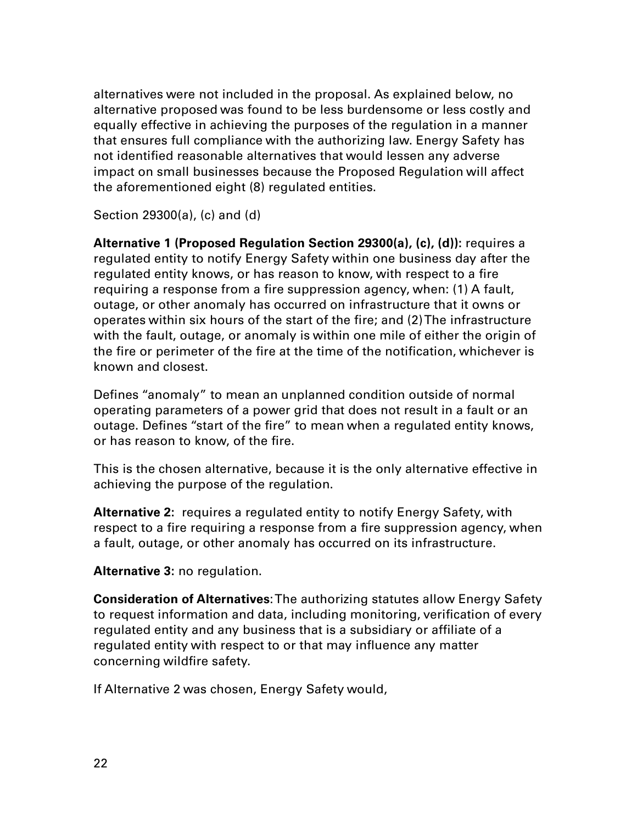alternatives were not included in the proposal. As explained below, no alternative proposed was found to be less burdensome or less costly and equally effective in achieving the purposes of the regulation in a manner that ensures full compliance with the authorizing law. Energy Safety has not identified reasonable alternatives that would lessen any adverse impact on small businesses because the Proposed Regulation will affect the aforementioned eight (8) regulated entities.

Section 29300(a), (c) and (d)

**Alternative 1 (Proposed Regulation Section 29300(a), (c), (d)):** requires a regulated entity to notify Energy Safety within one business day after the regulated entity knows, or has reason to know, with respect to a fire requiring a response from a fire suppression agency, when: (1) A fault, outage, or other anomaly has occurred on infrastructure that it owns or operates within six hours of the start of the fire; and (2) The infrastructure with the fault, outage, or anomaly is within one mile of either the origin of the fire or perimeter of the fire at the time of the notification, whichever is known and closest.

Defines "anomaly" to mean an unplanned condition outside of normal operating parameters of a power grid that does not result in a fault or an outage. Defines "start of the fire" to mean when a regulated entity knows, or has reason to know, of the fire.

This is the chosen alternative, because it is the only alternative effective in achieving the purpose of the regulation.

**Alternative 2:** requires a regulated entity to notify Energy Safety, with respect to a fire requiring a response from a fire suppression agency, when a fault, outage, or other anomaly has occurred on its infrastructure.

**Alternative 3:** no regulation.

**Consideration of Alternatives**: The authorizing statutes allow Energy Safety to request information and data, including monitoring, verification of every regulated entity and any business that is a subsidiary or affiliate of a regulated entity with respect to or that may influence any matter concerning wildfire safety.

If Alternative 2 was chosen, Energy Safety would,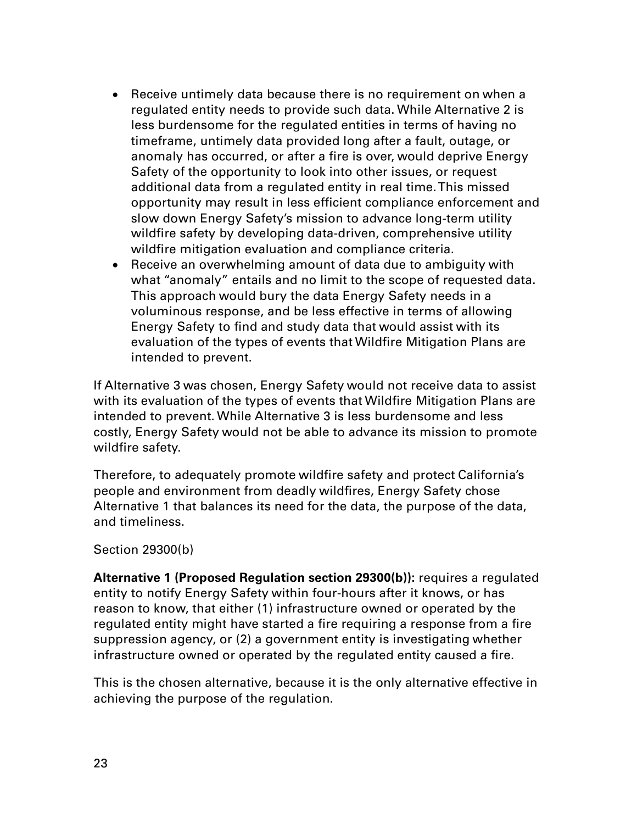- Receive untimely data because there is no requirement on when a regulated entity needs to provide such data. While Alternative 2 is less burdensome for the regulated entities in terms of having no timeframe, untimely data provided long after a fault, outage, or anomaly has occurred, or after a fire is over, would deprive Energy Safety of the opportunity to look into other issues, or request additional data from a regulated entity in real time. This missed opportunity may result in less efficient compliance enforcement and slow down Energy Safety's mission to advance long-term utility wildfire safety by developing data-driven, comprehensive utility wildfire mitigation evaluation and compliance criteria.
- Receive an overwhelming amount of data due to ambiguity with what "anomaly" entails and no limit to the scope of requested data. This approach would bury the data Energy Safety needs in a voluminous response, and be less effective in terms of allowing Energy Safety to find and study data that would assist with its evaluation of the types of events that Wildfire Mitigation Plans are intended to prevent.

If Alternative 3 was chosen, Energy Safety would not receive data to assist with its evaluation of the types of events that Wildfire Mitigation Plans are intended to prevent. While Alternative 3 is less burdensome and less costly, Energy Safety would not be able to advance its mission to promote wildfire safety.

Therefore, to adequately promote wildfire safety and protect California's people and environment from deadly wildfires, Energy Safety chose Alternative 1 that balances its need for the data, the purpose of the data, and timeliness.

#### Section 29300(b)

**Alternative 1 (Proposed Regulation section 29300(b)):** requires a regulated entity to notify Energy Safety within four-hours after it knows, or has reason to know, that either (1) infrastructure owned or operated by the regulated entity might have started a fire requiring a response from a fire suppression agency, or (2) a government entity is investigating whether infrastructure owned or operated by the regulated entity caused a fire.

This is the chosen alternative, because it is the only alternative effective in achieving the purpose of the regulation.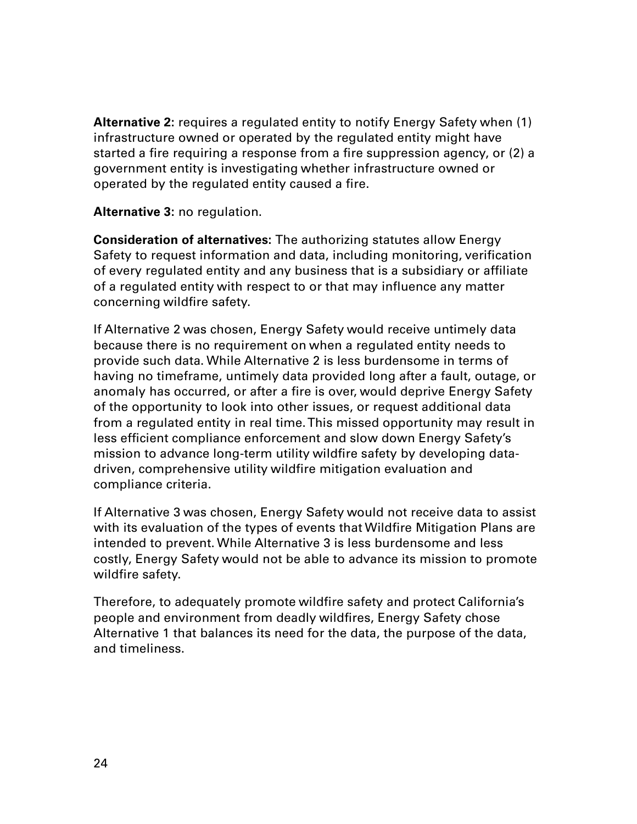**Alternative 2:** requires a regulated entity to notify Energy Safety when (1) infrastructure owned or operated by the regulated entity might have started a fire requiring a response from a fire suppression agency, or (2) a government entity is investigating whether infrastructure owned or operated by the regulated entity caused a fire.

**Alternative 3:** no regulation.

**Consideration of alternatives:** The authorizing statutes allow Energy Safety to request information and data, including monitoring, verification of every regulated entity and any business that is a subsidiary or affiliate of a regulated entity with respect to or that may influence any matter concerning wildfire safety.

If Alternative 2 was chosen, Energy Safety would receive untimely data because there is no requirement on when a regulated entity needs to provide such data. While Alternative 2 is less burdensome in terms of having no timeframe, untimely data provided long after a fault, outage, or anomaly has occurred, or after a fire is over, would deprive Energy Safety of the opportunity to look into other issues, or request additional data from a regulated entity in real time. This missed opportunity may result in less efficient compliance enforcement and slow down Energy Safety's mission to advance long-term utility wildfire safety by developing datadriven, comprehensive utility wildfire mitigation evaluation and compliance criteria.

If Alternative 3 was chosen, Energy Safety would not receive data to assist with its evaluation of the types of events that Wildfire Mitigation Plans are intended to prevent. While Alternative 3 is less burdensome and less costly, Energy Safety would not be able to advance its mission to promote wildfire safety.

Therefore, to adequately promote wildfire safety and protect California's people and environment from deadly wildfires, Energy Safety chose Alternative 1 that balances its need for the data, the purpose of the data, and timeliness.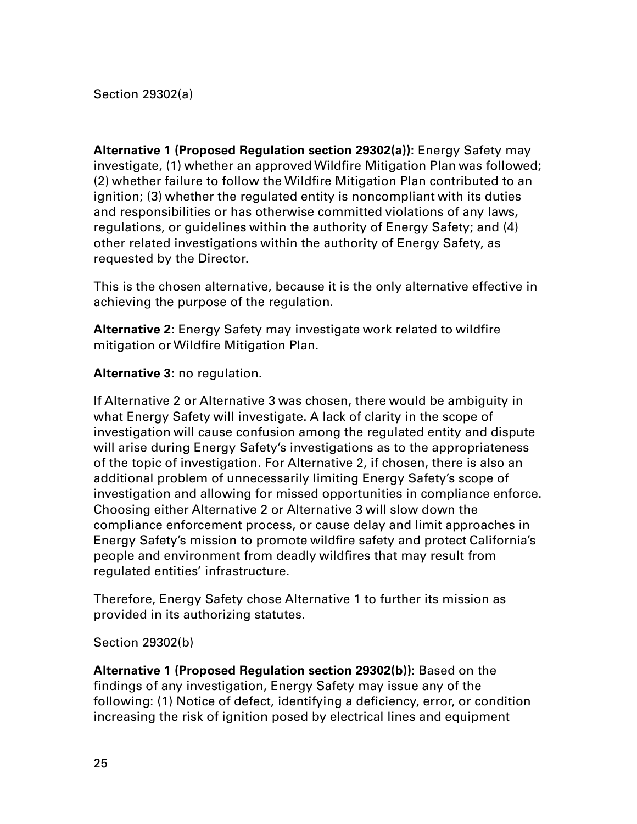**Alternative 1 (Proposed Regulation section 29302(a)):** Energy Safety may investigate, (1) whether an approved Wildfire Mitigation Plan was followed; (2) whether failure to follow the Wildfire Mitigation Plan contributed to an ignition; (3) whether the regulated entity is noncompliant with its duties and responsibilities or has otherwise committed violations of any laws, regulations, or guidelines within the authority of Energy Safety; and (4) other related investigations within the authority of Energy Safety, as requested by the Director.

This is the chosen alternative, because it is the only alternative effective in achieving the purpose of the regulation.

**Alternative 2:** Energy Safety may investigate work related to wildfire mitigation or Wildfire Mitigation Plan.

**Alternative 3:** no regulation.

If Alternative 2 or Alternative 3 was chosen, there would be ambiguity in what Energy Safety will investigate. A lack of clarity in the scope of investigation will cause confusion among the regulated entity and dispute will arise during Energy Safety's investigations as to the appropriateness of the topic of investigation. For Alternative 2, if chosen, there is also an additional problem of unnecessarily limiting Energy Safety's scope of investigation and allowing for missed opportunities in compliance enforce. Choosing either Alternative 2 or Alternative 3 will slow down the compliance enforcement process, or cause delay and limit approaches in Energy Safety's mission to promote wildfire safety and protect California's people and environment from deadly wildfires that may result from regulated entities' infrastructure.

Therefore, Energy Safety chose Alternative 1 to further its mission as provided in its authorizing statutes.

Section 29302(b)

**Alternative 1 (Proposed Regulation section 29302(b)):** Based on the findings of any investigation, Energy Safety may issue any of the following: (1) Notice of defect, identifying a deficiency, error, or condition increasing the risk of ignition posed by electrical lines and equipment